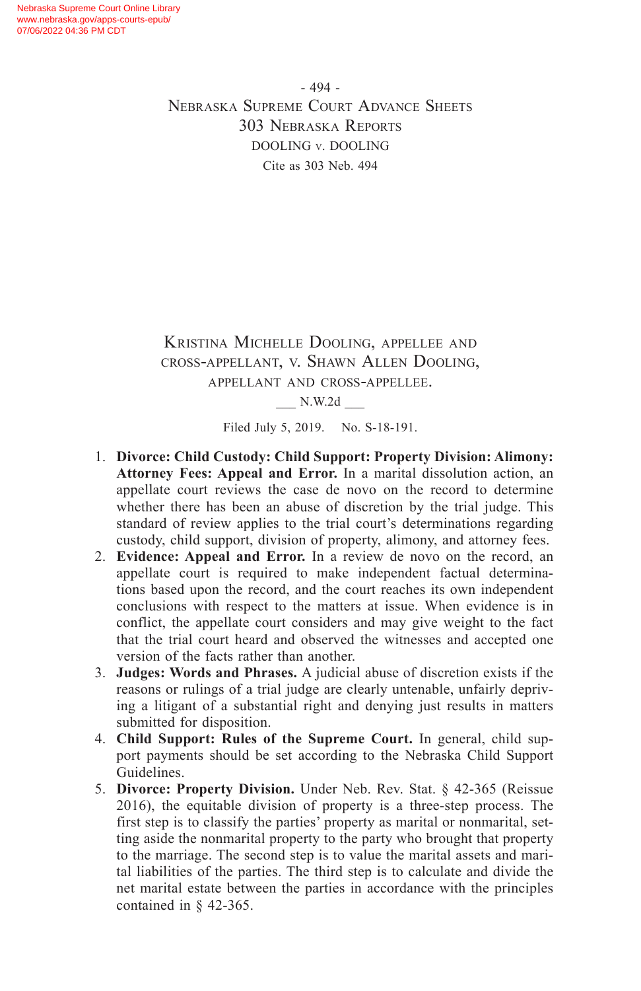- 494 - Nebraska Supreme Court Advance Sheets 303 Nebraska Reports DOOLING v. DOOLING Cite as 303 Neb. 494

Kristina Michelle Dooling, appellee and cross-appellant, v. Shawn Allen Dooling, appellant and cross-appellee.

\_\_\_ N.W.2d \_\_\_

Filed July 5, 2019. No. S-18-191.

- 1. **Divorce: Child Custody: Child Support: Property Division: Alimony: Attorney Fees: Appeal and Error.** In a marital dissolution action, an appellate court reviews the case de novo on the record to determine whether there has been an abuse of discretion by the trial judge. This standard of review applies to the trial court's determinations regarding custody, child support, division of property, alimony, and attorney fees.
- 2. **Evidence: Appeal and Error.** In a review de novo on the record, an appellate court is required to make independent factual determinations based upon the record, and the court reaches its own independent conclusions with respect to the matters at issue. When evidence is in conflict, the appellate court considers and may give weight to the fact that the trial court heard and observed the witnesses and accepted one version of the facts rather than another.
- 3. **Judges: Words and Phrases.** A judicial abuse of discretion exists if the reasons or rulings of a trial judge are clearly untenable, unfairly depriving a litigant of a substantial right and denying just results in matters submitted for disposition.
- 4. **Child Support: Rules of the Supreme Court.** In general, child support payments should be set according to the Nebraska Child Support Guidelines.
- 5. **Divorce: Property Division.** Under Neb. Rev. Stat. § 42-365 (Reissue 2016), the equitable division of property is a three-step process. The first step is to classify the parties' property as marital or nonmarital, setting aside the nonmarital property to the party who brought that property to the marriage. The second step is to value the marital assets and marital liabilities of the parties. The third step is to calculate and divide the net marital estate between the parties in accordance with the principles contained in § 42-365.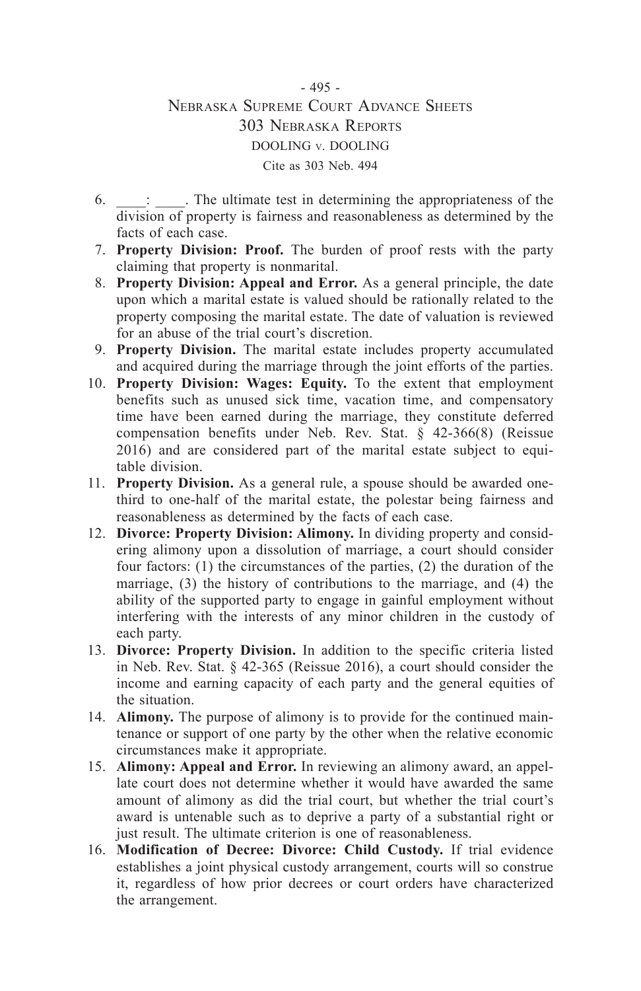### - 495 - Nebraska Supreme Court Advance Sheets 303 Nebraska Reports DOOLING v. DOOLING Cite as 303 Neb. 494

- 6. \_\_\_\_: \_\_\_\_. The ultimate test in determining the appropriateness of the division of property is fairness and reasonableness as determined by the facts of each case.
- 7. **Property Division: Proof.** The burden of proof rests with the party claiming that property is nonmarital.
- 8. **Property Division: Appeal and Error.** As a general principle, the date upon which a marital estate is valued should be rationally related to the property composing the marital estate. The date of valuation is reviewed for an abuse of the trial court's discretion.
- 9. **Property Division.** The marital estate includes property accumulated and acquired during the marriage through the joint efforts of the parties.
- 10. **Property Division: Wages: Equity.** To the extent that employment benefits such as unused sick time, vacation time, and compensatory time have been earned during the marriage, they constitute deferred compensation benefits under Neb. Rev. Stat. § 42-366(8) (Reissue 2016) and are considered part of the marital estate subject to equitable division.
- 11. **Property Division.** As a general rule, a spouse should be awarded onethird to one-half of the marital estate, the polestar being fairness and reasonableness as determined by the facts of each case.
- 12. **Divorce: Property Division: Alimony.** In dividing property and considering alimony upon a dissolution of marriage, a court should consider four factors: (1) the circumstances of the parties, (2) the duration of the marriage, (3) the history of contributions to the marriage, and (4) the ability of the supported party to engage in gainful employment without interfering with the interests of any minor children in the custody of each party.
- 13. **Divorce: Property Division.** In addition to the specific criteria listed in Neb. Rev. Stat. § 42-365 (Reissue 2016), a court should consider the income and earning capacity of each party and the general equities of the situation.
- 14. **Alimony.** The purpose of alimony is to provide for the continued maintenance or support of one party by the other when the relative economic circumstances make it appropriate.
- 15. **Alimony: Appeal and Error.** In reviewing an alimony award, an appellate court does not determine whether it would have awarded the same amount of alimony as did the trial court, but whether the trial court's award is untenable such as to deprive a party of a substantial right or just result. The ultimate criterion is one of reasonableness.
- 16. **Modification of Decree: Divorce: Child Custody.** If trial evidence establishes a joint physical custody arrangement, courts will so construe it, regardless of how prior decrees or court orders have characterized the arrangement.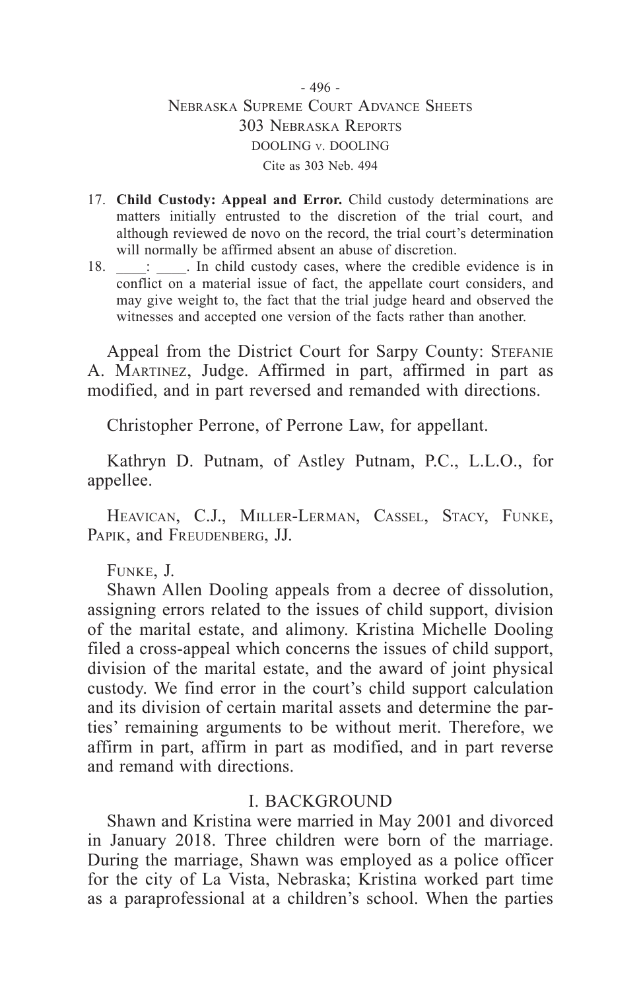- 496 - Nebraska Supreme Court Advance Sheets 303 Nebraska Reports DOOLING v. DOOLING Cite as 303 Neb. 494

- 17. **Child Custody: Appeal and Error.** Child custody determinations are matters initially entrusted to the discretion of the trial court, and although reviewed de novo on the record, the trial court's determination will normally be affirmed absent an abuse of discretion.
- 18. \_\_\_\_: \_\_\_\_. In child custody cases, where the credible evidence is in conflict on a material issue of fact, the appellate court considers, and may give weight to, the fact that the trial judge heard and observed the witnesses and accepted one version of the facts rather than another.

Appeal from the District Court for Sarpy County: STEFANIE A. Martinez, Judge. Affirmed in part, affirmed in part as modified, and in part reversed and remanded with directions.

Christopher Perrone, of Perrone Law, for appellant.

Kathryn D. Putnam, of Astley Putnam, P.C., L.L.O., for appellee.

Heavican, C.J., Miller-Lerman, Cassel, Stacy, Funke, PAPIK, and FREUDENBERG, JJ.

### Funke, J.

Shawn Allen Dooling appeals from a decree of dissolution, assigning errors related to the issues of child support, division of the marital estate, and alimony. Kristina Michelle Dooling filed a cross-appeal which concerns the issues of child support, division of the marital estate, and the award of joint physical custody. We find error in the court's child support calculation and its division of certain marital assets and determine the parties' remaining arguments to be without merit. Therefore, we affirm in part, affirm in part as modified, and in part reverse and remand with directions.

### I. BACKGROUND

Shawn and Kristina were married in May 2001 and divorced in January 2018. Three children were born of the marriage. During the marriage, Shawn was employed as a police officer for the city of La Vista, Nebraska; Kristina worked part time as a paraprofessional at a children's school. When the parties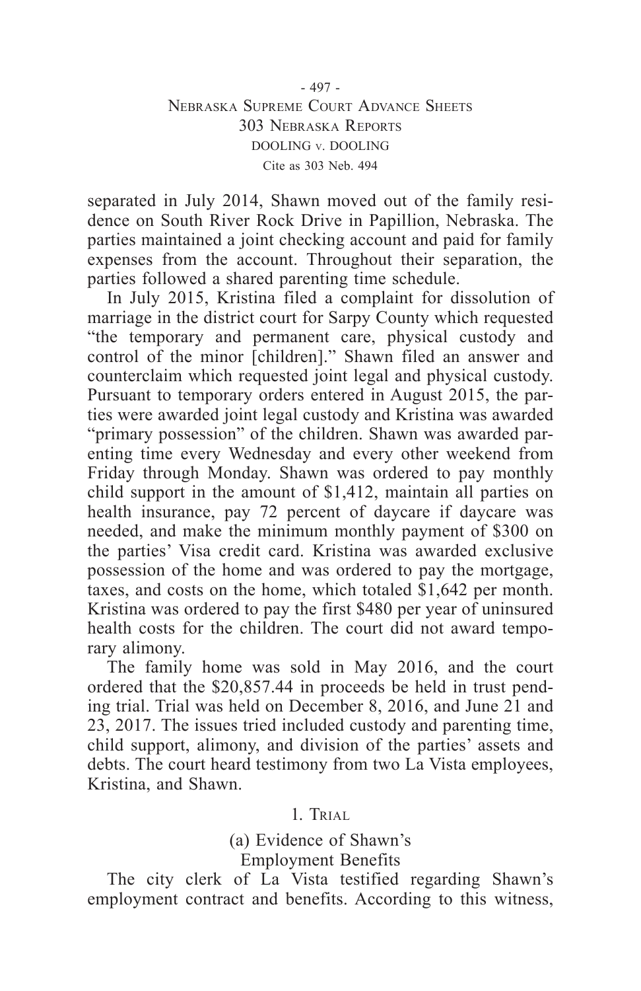### - 497 - Nebraska Supreme Court Advance Sheets 303 Nebraska Reports DOOLING v. DOOLING Cite as 303 Neb. 494

separated in July 2014, Shawn moved out of the family residence on South River Rock Drive in Papillion, Nebraska. The parties maintained a joint checking account and paid for family expenses from the account. Throughout their separation, the parties followed a shared parenting time schedule.

In July 2015, Kristina filed a complaint for dissolution of marriage in the district court for Sarpy County which requested "the temporary and permanent care, physical custody and control of the minor [children]." Shawn filed an answer and counterclaim which requested joint legal and physical custody. Pursuant to temporary orders entered in August 2015, the parties were awarded joint legal custody and Kristina was awarded "primary possession" of the children. Shawn was awarded parenting time every Wednesday and every other weekend from Friday through Monday. Shawn was ordered to pay monthly child support in the amount of \$1,412, maintain all parties on health insurance, pay 72 percent of daycare if daycare was needed, and make the minimum monthly payment of \$300 on the parties' Visa credit card. Kristina was awarded exclusive possession of the home and was ordered to pay the mortgage, taxes, and costs on the home, which totaled \$1,642 per month. Kristina was ordered to pay the first \$480 per year of uninsured health costs for the children. The court did not award temporary alimony.

The family home was sold in May 2016, and the court ordered that the \$20,857.44 in proceeds be held in trust pending trial. Trial was held on December 8, 2016, and June 21 and 23, 2017. The issues tried included custody and parenting time, child support, alimony, and division of the parties' assets and debts. The court heard testimony from two La Vista employees, Kristina, and Shawn.

1. Trial

(a) Evidence of Shawn's Employment Benefits

The city clerk of La Vista testified regarding Shawn's employment contract and benefits. According to this witness,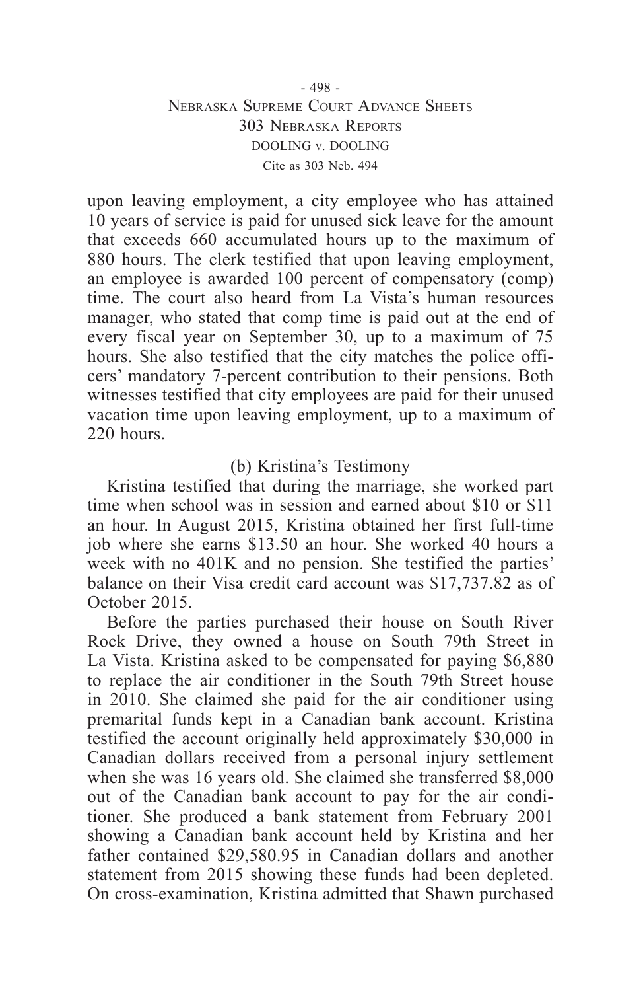### - 498 - Nebraska Supreme Court Advance Sheets 303 Nebraska Reports DOOLING v. DOOLING Cite as 303 Neb. 494

upon leaving employment, a city employee who has attained 10 years of service is paid for unused sick leave for the amount that exceeds 660 accumulated hours up to the maximum of 880 hours. The clerk testified that upon leaving employment, an employee is awarded 100 percent of compensatory (comp) time. The court also heard from La Vista's human resources manager, who stated that comp time is paid out at the end of every fiscal year on September 30, up to a maximum of 75 hours. She also testified that the city matches the police officers' mandatory 7-percent contribution to their pensions. Both witnesses testified that city employees are paid for their unused vacation time upon leaving employment, up to a maximum of 220 hours.

### (b) Kristina's Testimony

Kristina testified that during the marriage, she worked part time when school was in session and earned about \$10 or \$11 an hour. In August 2015, Kristina obtained her first full-time job where she earns \$13.50 an hour. She worked 40 hours a week with no 401K and no pension. She testified the parties' balance on their Visa credit card account was \$17,737.82 as of October 2015.

Before the parties purchased their house on South River Rock Drive, they owned a house on South 79th Street in La Vista. Kristina asked to be compensated for paying \$6,880 to replace the air conditioner in the South 79th Street house in 2010. She claimed she paid for the air conditioner using premarital funds kept in a Canadian bank account. Kristina testified the account originally held approximately \$30,000 in Canadian dollars received from a personal injury settlement when she was 16 years old. She claimed she transferred \$8,000 out of the Canadian bank account to pay for the air conditioner. She produced a bank statement from February 2001 showing a Canadian bank account held by Kristina and her father contained \$29,580.95 in Canadian dollars and another statement from 2015 showing these funds had been depleted. On cross-examination, Kristina admitted that Shawn purchased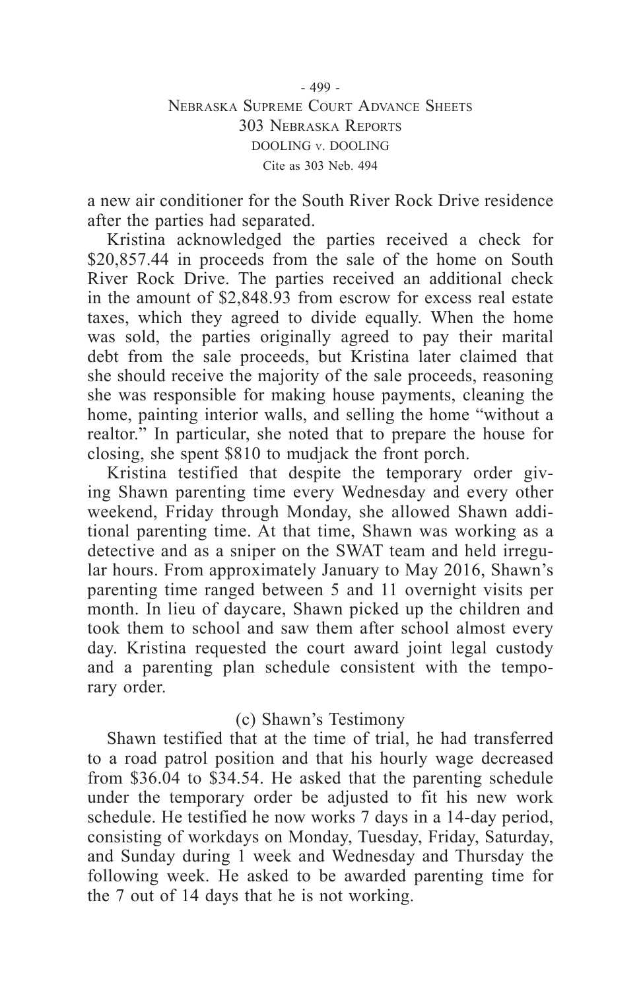a new air conditioner for the South River Rock Drive residence after the parties had separated.

Kristina acknowledged the parties received a check for \$20,857.44 in proceeds from the sale of the home on South River Rock Drive. The parties received an additional check in the amount of \$2,848.93 from escrow for excess real estate taxes, which they agreed to divide equally. When the home was sold, the parties originally agreed to pay their marital debt from the sale proceeds, but Kristina later claimed that she should receive the majority of the sale proceeds, reasoning she was responsible for making house payments, cleaning the home, painting interior walls, and selling the home "without a realtor." In particular, she noted that to prepare the house for closing, she spent \$810 to mudjack the front porch.

Kristina testified that despite the temporary order giving Shawn parenting time every Wednesday and every other weekend, Friday through Monday, she allowed Shawn additional parenting time. At that time, Shawn was working as a detective and as a sniper on the SWAT team and held irregular hours. From approximately January to May 2016, Shawn's parenting time ranged between 5 and 11 overnight visits per month. In lieu of daycare, Shawn picked up the children and took them to school and saw them after school almost every day. Kristina requested the court award joint legal custody and a parenting plan schedule consistent with the temporary order.

### (c) Shawn's Testimony

Shawn testified that at the time of trial, he had transferred to a road patrol position and that his hourly wage decreased from \$36.04 to \$34.54. He asked that the parenting schedule under the temporary order be adjusted to fit his new work schedule. He testified he now works 7 days in a 14-day period, consisting of workdays on Monday, Tuesday, Friday, Saturday, and Sunday during 1 week and Wednesday and Thursday the following week. He asked to be awarded parenting time for the 7 out of 14 days that he is not working.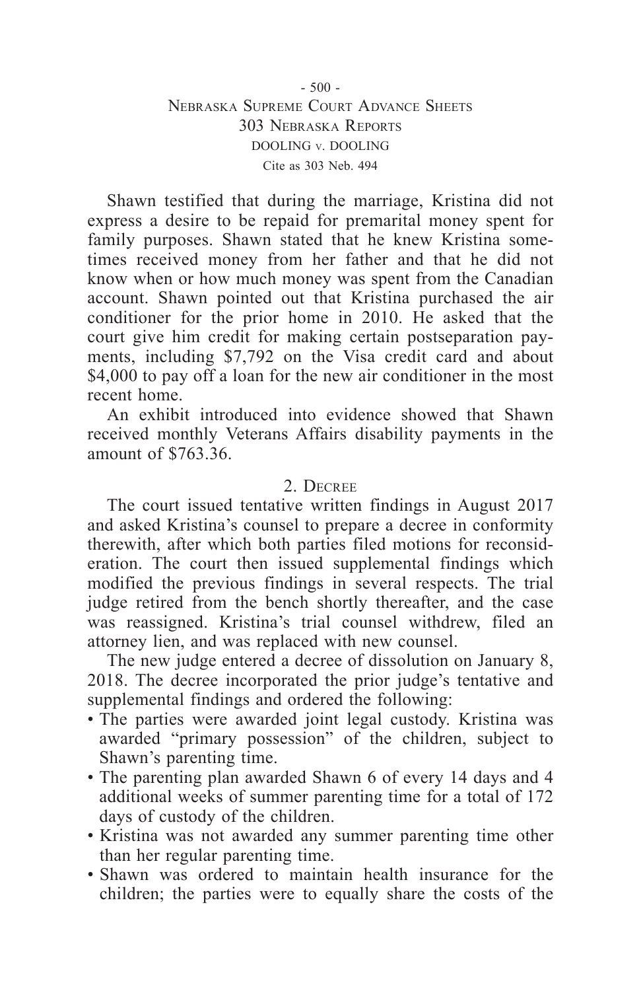Shawn testified that during the marriage, Kristina did not express a desire to be repaid for premarital money spent for family purposes. Shawn stated that he knew Kristina sometimes received money from her father and that he did not know when or how much money was spent from the Canadian account. Shawn pointed out that Kristina purchased the air conditioner for the prior home in 2010. He asked that the court give him credit for making certain postseparation payments, including \$7,792 on the Visa credit card and about \$4,000 to pay off a loan for the new air conditioner in the most recent home.

An exhibit introduced into evidence showed that Shawn received monthly Veterans Affairs disability payments in the amount of \$763.36.

### 2. Decree

The court issued tentative written findings in August 2017 and asked Kristina's counsel to prepare a decree in conformity therewith, after which both parties filed motions for reconsideration. The court then issued supplemental findings which modified the previous findings in several respects. The trial judge retired from the bench shortly thereafter, and the case was reassigned. Kristina's trial counsel withdrew, filed an attorney lien, and was replaced with new counsel.

The new judge entered a decree of dissolution on January 8, 2018. The decree incorporated the prior judge's tentative and supplemental findings and ordered the following:

- The parties were awarded joint legal custody. Kristina was awarded "primary possession" of the children, subject to Shawn's parenting time.
- The parenting plan awarded Shawn 6 of every 14 days and 4 additional weeks of summer parenting time for a total of 172 days of custody of the children.
- Kristina was not awarded any summer parenting time other than her regular parenting time.
- Shawn was ordered to maintain health insurance for the children; the parties were to equally share the costs of the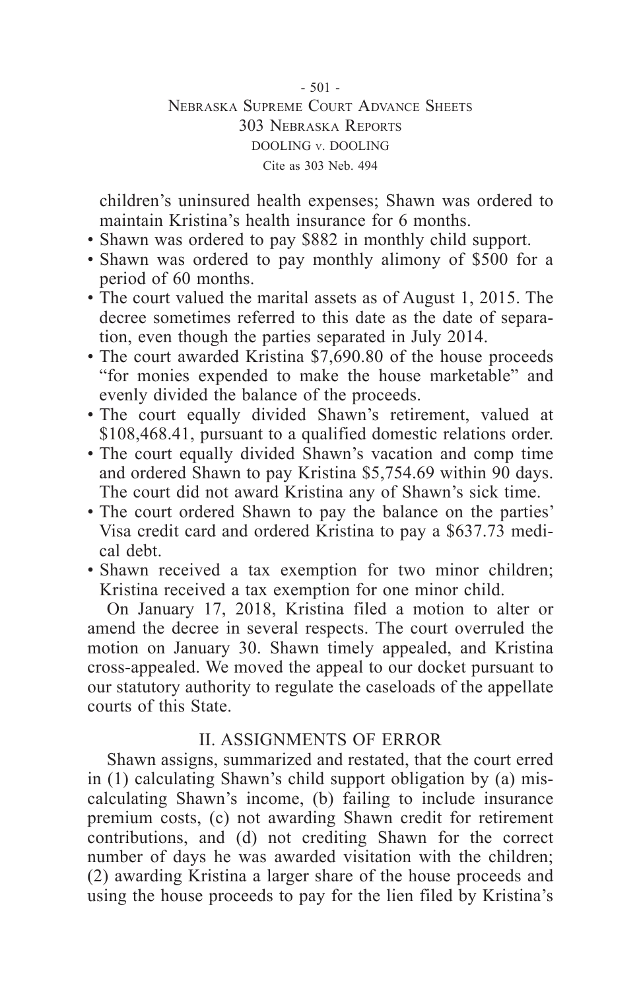$-501 -$ Nebraska Supreme Court Advance Sheets 303 Nebraska Reports DOOLING v. DOOLING Cite as 303 Neb. 494

children's uninsured health expenses; Shawn was ordered to maintain Kristina's health insurance for 6 months.

- Shawn was ordered to pay \$882 in monthly child support.
- Shawn was ordered to pay monthly alimony of \$500 for a period of 60 months.
- The court valued the marital assets as of August 1, 2015. The decree sometimes referred to this date as the date of separation, even though the parties separated in July 2014.
- The court awarded Kristina \$7,690.80 of the house proceeds "for monies expended to make the house marketable" and evenly divided the balance of the proceeds.
- The court equally divided Shawn's retirement, valued at \$108,468.41, pursuant to a qualified domestic relations order.
- The court equally divided Shawn's vacation and comp time and ordered Shawn to pay Kristina \$5,754.69 within 90 days. The court did not award Kristina any of Shawn's sick time.
- The court ordered Shawn to pay the balance on the parties' Visa credit card and ordered Kristina to pay a \$637.73 medical debt.
- Shawn received a tax exemption for two minor children; Kristina received a tax exemption for one minor child.

On January 17, 2018, Kristina filed a motion to alter or amend the decree in several respects. The court overruled the motion on January 30. Shawn timely appealed, and Kristina cross-appealed. We moved the appeal to our docket pursuant to our statutory authority to regulate the caseloads of the appellate courts of this State.

## II. ASSIGNMENTS OF ERROR

Shawn assigns, summarized and restated, that the court erred in (1) calculating Shawn's child support obligation by (a) miscalculating Shawn's income, (b) failing to include insurance premium costs, (c) not awarding Shawn credit for retirement contributions, and (d) not crediting Shawn for the correct number of days he was awarded visitation with the children; (2) awarding Kristina a larger share of the house proceeds and using the house proceeds to pay for the lien filed by Kristina's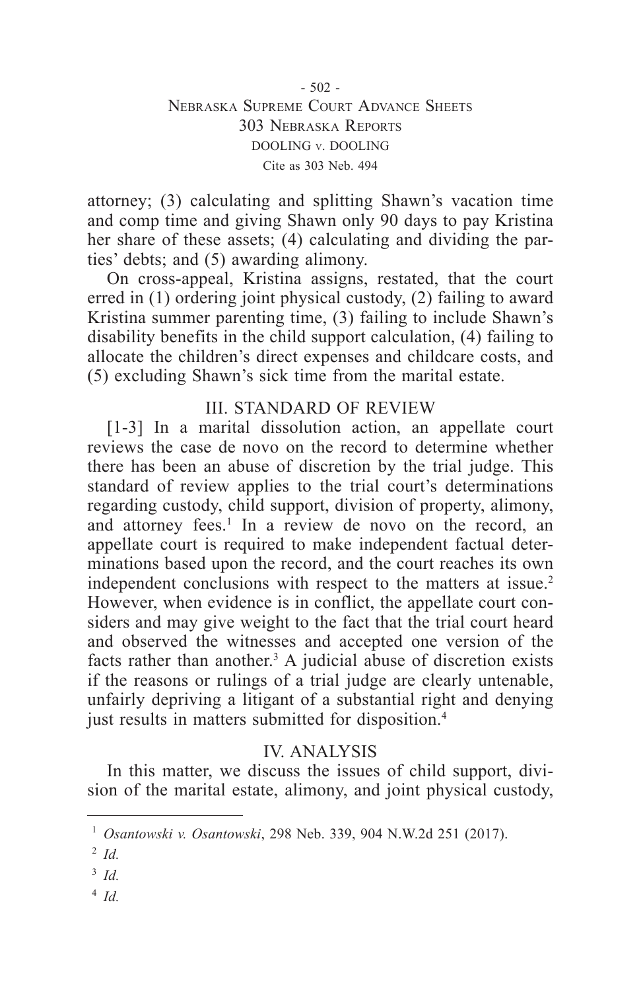attorney; (3) calculating and splitting Shawn's vacation time and comp time and giving Shawn only 90 days to pay Kristina her share of these assets; (4) calculating and dividing the parties' debts; and (5) awarding alimony.

On cross-appeal, Kristina assigns, restated, that the court erred in (1) ordering joint physical custody, (2) failing to award Kristina summer parenting time, (3) failing to include Shawn's disability benefits in the child support calculation, (4) failing to allocate the children's direct expenses and childcare costs, and (5) excluding Shawn's sick time from the marital estate.

## III. STANDARD OF REVIEW

[1-3] In a marital dissolution action, an appellate court reviews the case de novo on the record to determine whether there has been an abuse of discretion by the trial judge. This standard of review applies to the trial court's determinations regarding custody, child support, division of property, alimony, and attorney fees.<sup>1</sup> In a review de novo on the record, an appellate court is required to make independent factual determinations based upon the record, and the court reaches its own independent conclusions with respect to the matters at issue.<sup>2</sup> However, when evidence is in conflict, the appellate court considers and may give weight to the fact that the trial court heard and observed the witnesses and accepted one version of the facts rather than another.<sup>3</sup> A judicial abuse of discretion exists if the reasons or rulings of a trial judge are clearly untenable, unfairly depriving a litigant of a substantial right and denying just results in matters submitted for disposition.<sup>4</sup>

# IV. ANALYSIS

In this matter, we discuss the issues of child support, division of the marital estate, alimony, and joint physical custody,

<sup>4</sup> *Id.*

<sup>1</sup> *Osantowski v. Osantowski*, 298 Neb. 339, 904 N.W.2d 251 (2017).

<sup>2</sup> *Id.*

<sup>3</sup> *Id.*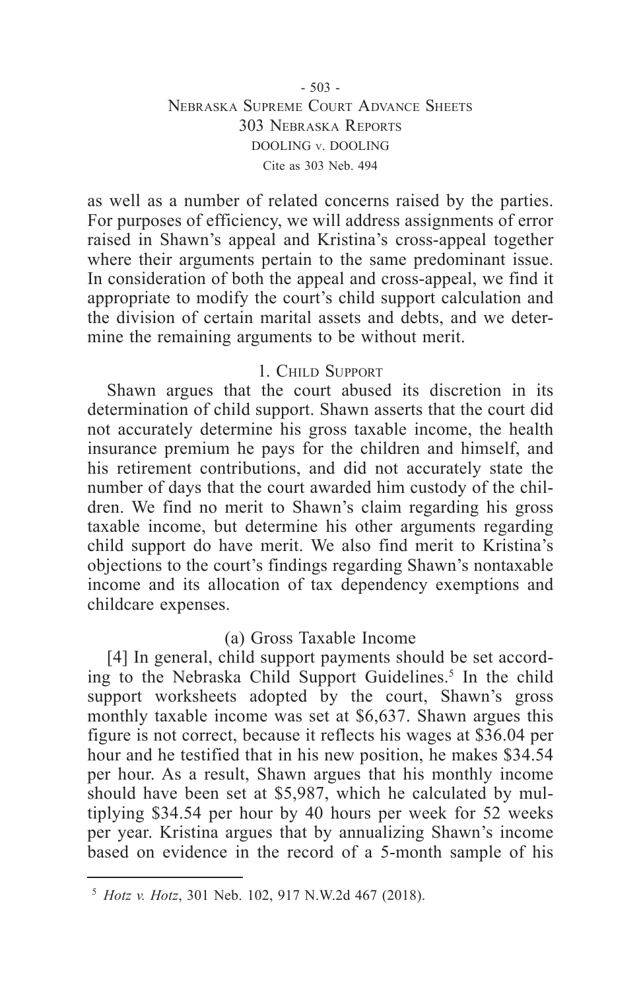### $-503 -$ Nebraska Supreme Court Advance Sheets 303 Nebraska Reports DOOLING v. DOOLING Cite as 303 Neb. 494

as well as a number of related concerns raised by the parties. For purposes of efficiency, we will address assignments of error raised in Shawn's appeal and Kristina's cross-appeal together where their arguments pertain to the same predominant issue. In consideration of both the appeal and cross-appeal, we find it appropriate to modify the court's child support calculation and the division of certain marital assets and debts, and we determine the remaining arguments to be without merit.

### 1. Child Support

Shawn argues that the court abused its discretion in its determination of child support. Shawn asserts that the court did not accurately determine his gross taxable income, the health insurance premium he pays for the children and himself, and his retirement contributions, and did not accurately state the number of days that the court awarded him custody of the children. We find no merit to Shawn's claim regarding his gross taxable income, but determine his other arguments regarding child support do have merit. We also find merit to Kristina's objections to the court's findings regarding Shawn's nontaxable income and its allocation of tax dependency exemptions and childcare expenses.

### (a) Gross Taxable Income

[4] In general, child support payments should be set according to the Nebraska Child Support Guidelines.<sup>5</sup> In the child support worksheets adopted by the court, Shawn's gross monthly taxable income was set at \$6,637. Shawn argues this figure is not correct, because it reflects his wages at \$36.04 per hour and he testified that in his new position, he makes \$34.54 per hour. As a result, Shawn argues that his monthly income should have been set at \$5,987, which he calculated by multiplying \$34.54 per hour by 40 hours per week for 52 weeks per year. Kristina argues that by annualizing Shawn's income based on evidence in the record of a 5-month sample of his

<sup>5</sup> *Hotz v. Hotz*, 301 Neb. 102, 917 N.W.2d 467 (2018).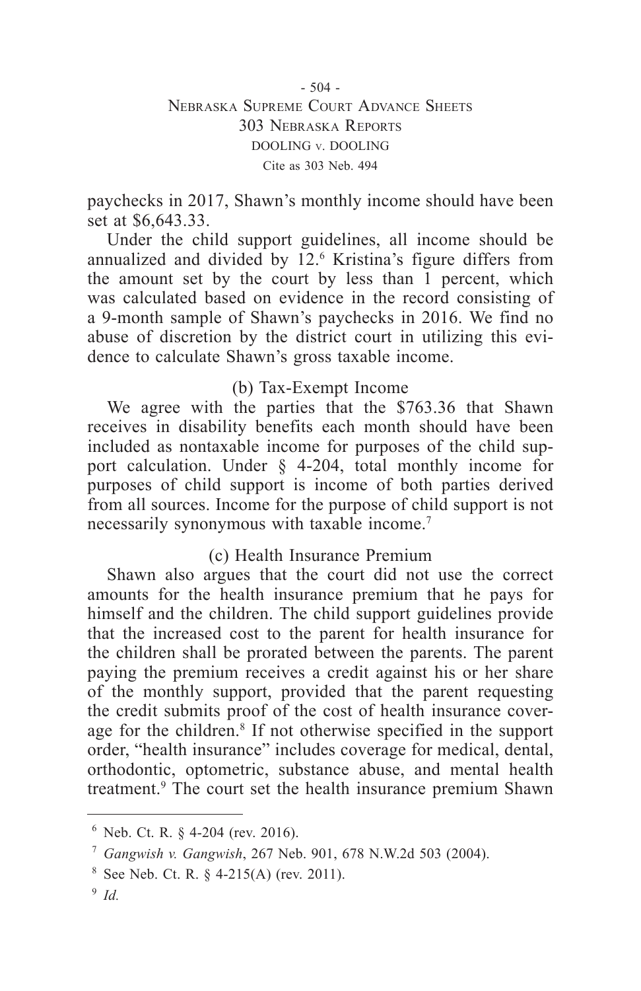paychecks in 2017, Shawn's monthly income should have been set at \$6,643.33.

Under the child support guidelines, all income should be annualized and divided by 12.6 Kristina's figure differs from the amount set by the court by less than 1 percent, which was calculated based on evidence in the record consisting of a 9-month sample of Shawn's paychecks in 2016. We find no abuse of discretion by the district court in utilizing this evidence to calculate Shawn's gross taxable income.

### (b) Tax-Exempt Income

We agree with the parties that the \$763.36 that Shawn receives in disability benefits each month should have been included as nontaxable income for purposes of the child support calculation. Under § 4-204, total monthly income for purposes of child support is income of both parties derived from all sources. Income for the purpose of child support is not necessarily synonymous with taxable income.7

### (c) Health Insurance Premium

Shawn also argues that the court did not use the correct amounts for the health insurance premium that he pays for himself and the children. The child support guidelines provide that the increased cost to the parent for health insurance for the children shall be prorated between the parents. The parent paying the premium receives a credit against his or her share of the monthly support, provided that the parent requesting the credit submits proof of the cost of health insurance coverage for the children.<sup>8</sup> If not otherwise specified in the support order, "health insurance" includes coverage for medical, dental, orthodontic, optometric, substance abuse, and mental health treatment.9 The court set the health insurance premium Shawn

<sup>6</sup> Neb. Ct. R. § 4-204 (rev. 2016).

<sup>7</sup> *Gangwish v. Gangwish*, 267 Neb. 901, 678 N.W.2d 503 (2004).

 $8$  See Neb. Ct. R.  $§$  4-215(A) (rev. 2011).

<sup>9</sup> *Id.*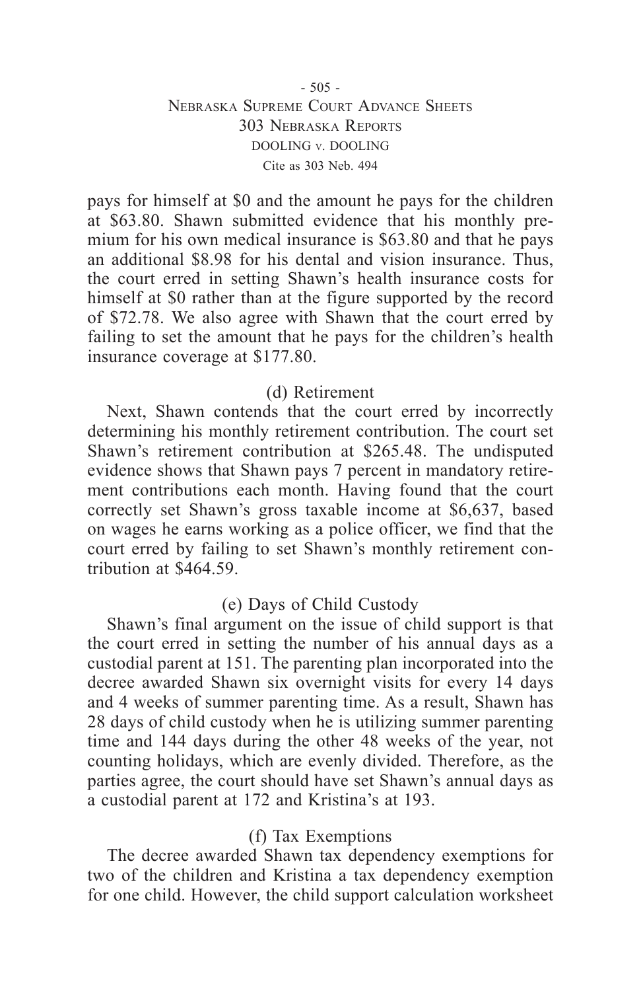### $-505 -$ Nebraska Supreme Court Advance Sheets 303 Nebraska Reports DOOLING v. DOOLING Cite as 303 Neb. 494

pays for himself at \$0 and the amount he pays for the children at \$63.80. Shawn submitted evidence that his monthly premium for his own medical insurance is \$63.80 and that he pays an additional \$8.98 for his dental and vision insurance. Thus, the court erred in setting Shawn's health insurance costs for himself at \$0 rather than at the figure supported by the record of \$72.78. We also agree with Shawn that the court erred by failing to set the amount that he pays for the children's health insurance coverage at \$177.80.

### (d) Retirement

Next, Shawn contends that the court erred by incorrectly determining his monthly retirement contribution. The court set Shawn's retirement contribution at \$265.48. The undisputed evidence shows that Shawn pays 7 percent in mandatory retirement contributions each month. Having found that the court correctly set Shawn's gross taxable income at \$6,637, based on wages he earns working as a police officer, we find that the court erred by failing to set Shawn's monthly retirement contribution at \$464.59.

## (e) Days of Child Custody

Shawn's final argument on the issue of child support is that the court erred in setting the number of his annual days as a custodial parent at 151. The parenting plan incorporated into the decree awarded Shawn six overnight visits for every 14 days and 4 weeks of summer parenting time. As a result, Shawn has 28 days of child custody when he is utilizing summer parenting time and 144 days during the other 48 weeks of the year, not counting holidays, which are evenly divided. Therefore, as the parties agree, the court should have set Shawn's annual days as a custodial parent at 172 and Kristina's at 193.

### (f) Tax Exemptions

The decree awarded Shawn tax dependency exemptions for two of the children and Kristina a tax dependency exemption for one child. However, the child support calculation worksheet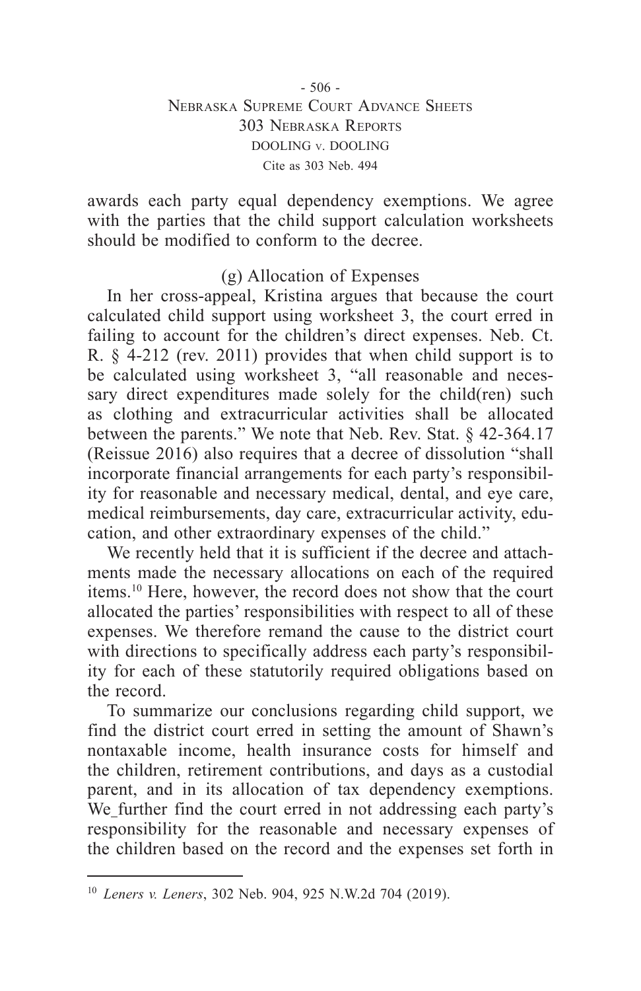### - 506 - Nebraska Supreme Court Advance Sheets 303 Nebraska Reports DOOLING v. DOOLING Cite as 303 Neb. 494

awards each party equal dependency exemptions. We agree with the parties that the child support calculation worksheets should be modified to conform to the decree.

## (g) Allocation of Expenses

In her cross-appeal, Kristina argues that because the court calculated child support using worksheet 3, the court erred in failing to account for the children's direct expenses. Neb. Ct. R. § 4-212 (rev. 2011) provides that when child support is to be calculated using worksheet 3, "all reasonable and necessary direct expenditures made solely for the child(ren) such as clothing and extracurricular activities shall be allocated between the parents." We note that Neb. Rev. Stat. § 42-364.17 (Reissue 2016) also requires that a decree of dissolution "shall incorporate financial arrangements for each party's responsibility for reasonable and necessary medical, dental, and eye care, medical reimbursements, day care, extracurricular activity, education, and other extraordinary expenses of the child."

We recently held that it is sufficient if the decree and attachments made the necessary allocations on each of the required items.10 Here, however, the record does not show that the court allocated the parties' responsibilities with respect to all of these expenses. We therefore remand the cause to the district court with directions to specifically address each party's responsibility for each of these statutorily required obligations based on the record.

To summarize our conclusions regarding child support, we find the district court erred in setting the amount of Shawn's nontaxable income, health insurance costs for himself and the children, retirement contributions, and days as a custodial parent, and in its allocation of tax dependency exemptions. We further find the court erred in not addressing each party's responsibility for the reasonable and necessary expenses of the children based on the record and the expenses set forth in

<sup>10</sup> *Leners v. Leners*, 302 Neb. 904, 925 N.W.2d 704 (2019).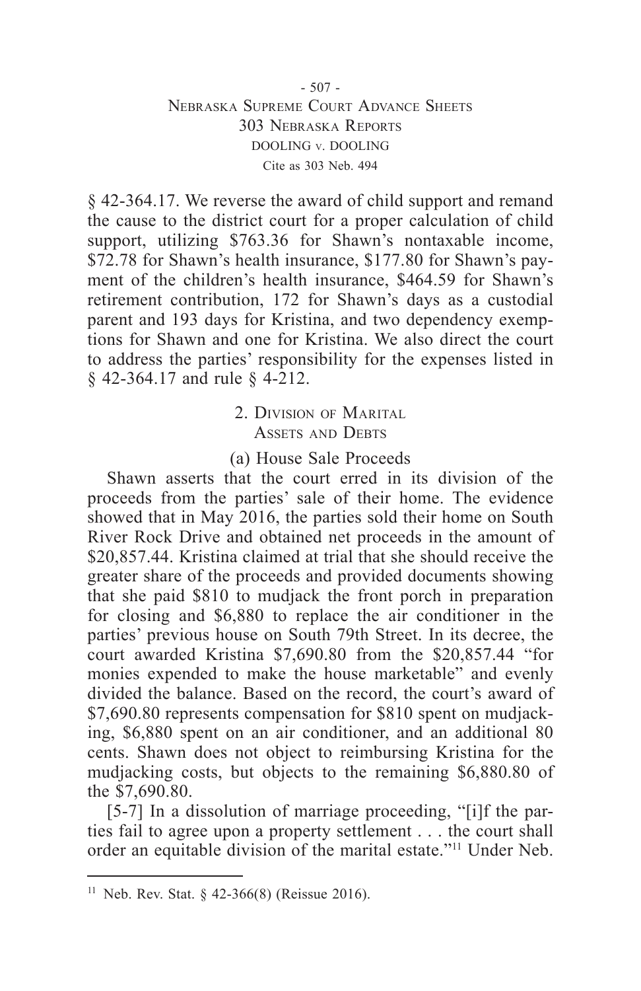### - 507 - Nebraska Supreme Court Advance Sheets 303 Nebraska Reports DOOLING v. DOOLING Cite as 303 Neb. 494

§ 42-364.17. We reverse the award of child support and remand the cause to the district court for a proper calculation of child support, utilizing \$763.36 for Shawn's nontaxable income, \$72.78 for Shawn's health insurance, \$177.80 for Shawn's payment of the children's health insurance, \$464.59 for Shawn's retirement contribution, 172 for Shawn's days as a custodial parent and 193 days for Kristina, and two dependency exemptions for Shawn and one for Kristina. We also direct the court to address the parties' responsibility for the expenses listed in § 42-364.17 and rule § 4-212.

# 2. Division of Marital ASSETS AND DEBTS

### (a) House Sale Proceeds

Shawn asserts that the court erred in its division of the proceeds from the parties' sale of their home. The evidence showed that in May 2016, the parties sold their home on South River Rock Drive and obtained net proceeds in the amount of \$20,857.44. Kristina claimed at trial that she should receive the greater share of the proceeds and provided documents showing that she paid \$810 to mudjack the front porch in preparation for closing and \$6,880 to replace the air conditioner in the parties' previous house on South 79th Street. In its decree, the court awarded Kristina \$7,690.80 from the \$20,857.44 "for monies expended to make the house marketable" and evenly divided the balance. Based on the record, the court's award of \$7,690.80 represents compensation for \$810 spent on mudjacking, \$6,880 spent on an air conditioner, and an additional 80 cents. Shawn does not object to reimbursing Kristina for the mudjacking costs, but objects to the remaining \$6,880.80 of the \$7,690.80.

[5-7] In a dissolution of marriage proceeding, "[i]f the parties fail to agree upon a property settlement . . . the court shall order an equitable division of the marital estate."11 Under Neb.

<sup>&</sup>lt;sup>11</sup> Neb. Rev. Stat. § 42-366(8) (Reissue 2016).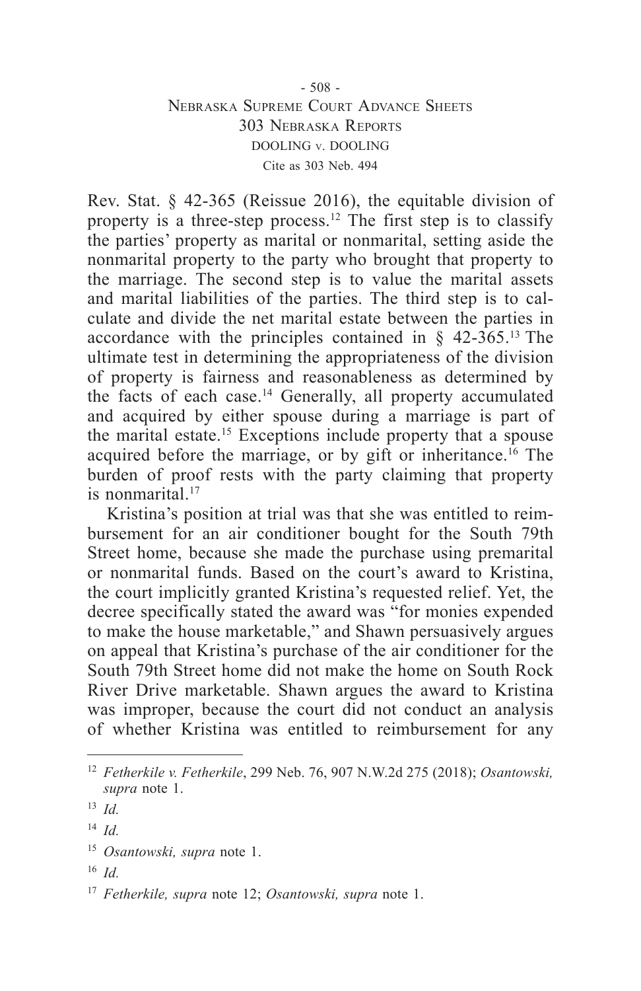### - 508 - Nebraska Supreme Court Advance Sheets 303 Nebraska Reports DOOLING v. DOOLING Cite as 303 Neb. 494

Rev. Stat. § 42-365 (Reissue 2016), the equitable division of property is a three-step process.<sup>12</sup> The first step is to classify the parties' property as marital or nonmarital, setting aside the nonmarital property to the party who brought that property to the marriage. The second step is to value the marital assets and marital liabilities of the parties. The third step is to calculate and divide the net marital estate between the parties in accordance with the principles contained in  $\S$  42-365.<sup>13</sup> The ultimate test in determining the appropriateness of the division of property is fairness and reasonableness as determined by the facts of each case.14 Generally, all property accumulated and acquired by either spouse during a marriage is part of the marital estate.15 Exceptions include property that a spouse acquired before the marriage, or by gift or inheritance.<sup>16</sup> The burden of proof rests with the party claiming that property is nonmarital.17

Kristina's position at trial was that she was entitled to reimbursement for an air conditioner bought for the South 79th Street home, because she made the purchase using premarital or nonmarital funds. Based on the court's award to Kristina, the court implicitly granted Kristina's requested relief. Yet, the decree specifically stated the award was "for monies expended to make the house marketable," and Shawn persuasively argues on appeal that Kristina's purchase of the air conditioner for the South 79th Street home did not make the home on South Rock River Drive marketable. Shawn argues the award to Kristina was improper, because the court did not conduct an analysis of whether Kristina was entitled to reimbursement for any

<sup>16</sup> *Id.*

<sup>12</sup> *Fetherkile v. Fetherkile*, 299 Neb. 76, 907 N.W.2d 275 (2018); *Osantowski, supra* note 1.

<sup>13</sup> *Id.*

<sup>14</sup> *Id.*

<sup>15</sup> *Osantowski, supra* note 1.

<sup>17</sup> *Fetherkile, supra* note 12; *Osantowski, supra* note 1.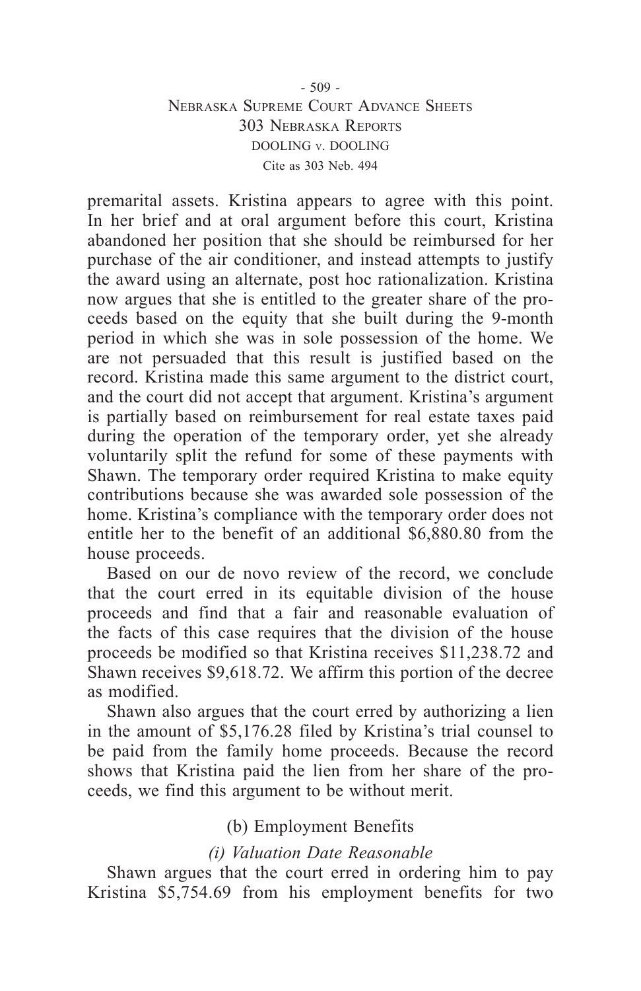### $-509 -$ Nebraska Supreme Court Advance Sheets 303 Nebraska Reports DOOLING v. DOOLING Cite as 303 Neb. 494

premarital assets. Kristina appears to agree with this point. In her brief and at oral argument before this court, Kristina abandoned her position that she should be reimbursed for her purchase of the air conditioner, and instead attempts to justify the award using an alternate, post hoc rationalization. Kristina now argues that she is entitled to the greater share of the proceeds based on the equity that she built during the 9-month period in which she was in sole possession of the home. We are not persuaded that this result is justified based on the record. Kristina made this same argument to the district court, and the court did not accept that argument. Kristina's argument is partially based on reimbursement for real estate taxes paid during the operation of the temporary order, yet she already voluntarily split the refund for some of these payments with Shawn. The temporary order required Kristina to make equity contributions because she was awarded sole possession of the home. Kristina's compliance with the temporary order does not entitle her to the benefit of an additional \$6,880.80 from the house proceeds.

Based on our de novo review of the record, we conclude that the court erred in its equitable division of the house proceeds and find that a fair and reasonable evaluation of the facts of this case requires that the division of the house proceeds be modified so that Kristina receives \$11,238.72 and Shawn receives \$9,618.72. We affirm this portion of the decree as modified.

Shawn also argues that the court erred by authorizing a lien in the amount of \$5,176.28 filed by Kristina's trial counsel to be paid from the family home proceeds. Because the record shows that Kristina paid the lien from her share of the proceeds, we find this argument to be without merit.

## (b) Employment Benefits

## *(i) Valuation Date Reasonable*

Shawn argues that the court erred in ordering him to pay Kristina \$5,754.69 from his employment benefits for two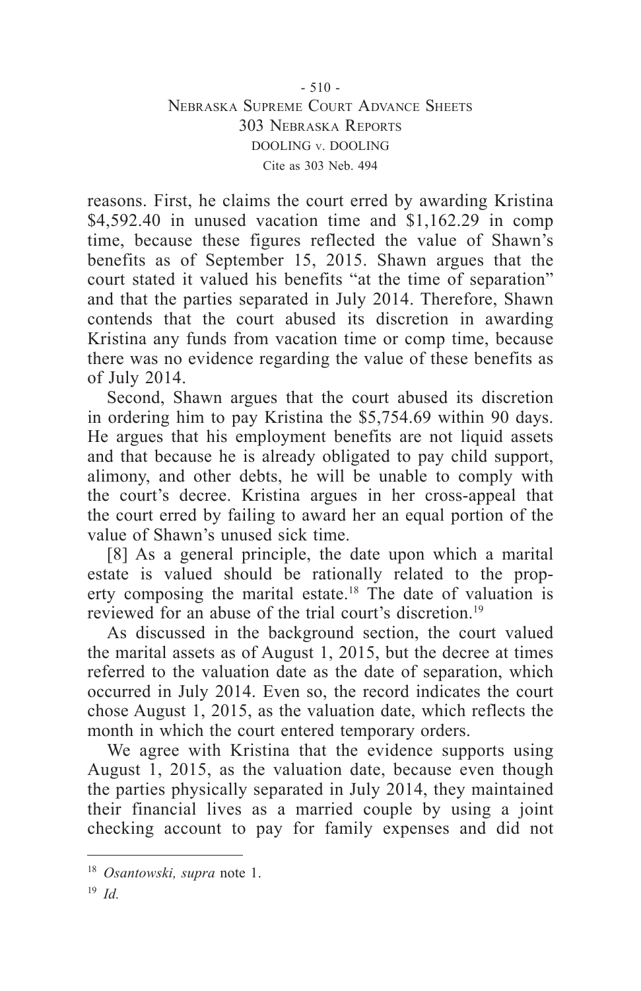reasons. First, he claims the court erred by awarding Kristina \$4,592.40 in unused vacation time and \$1,162.29 in comp time, because these figures reflected the value of Shawn's benefits as of September 15, 2015. Shawn argues that the court stated it valued his benefits "at the time of separation" and that the parties separated in July 2014. Therefore, Shawn contends that the court abused its discretion in awarding Kristina any funds from vacation time or comp time, because there was no evidence regarding the value of these benefits as of July 2014.

Second, Shawn argues that the court abused its discretion in ordering him to pay Kristina the \$5,754.69 within 90 days. He argues that his employment benefits are not liquid assets and that because he is already obligated to pay child support, alimony, and other debts, he will be unable to comply with the court's decree. Kristina argues in her cross-appeal that the court erred by failing to award her an equal portion of the value of Shawn's unused sick time.

[8] As a general principle, the date upon which a marital estate is valued should be rationally related to the property composing the marital estate.18 The date of valuation is reviewed for an abuse of the trial court's discretion.<sup>19</sup>

As discussed in the background section, the court valued the marital assets as of August 1, 2015, but the decree at times referred to the valuation date as the date of separation, which occurred in July 2014. Even so, the record indicates the court chose August 1, 2015, as the valuation date, which reflects the month in which the court entered temporary orders.

We agree with Kristina that the evidence supports using August 1, 2015, as the valuation date, because even though the parties physically separated in July 2014, they maintained their financial lives as a married couple by using a joint checking account to pay for family expenses and did not

<sup>18</sup> *Osantowski, supra* note 1.

<sup>19</sup> *Id.*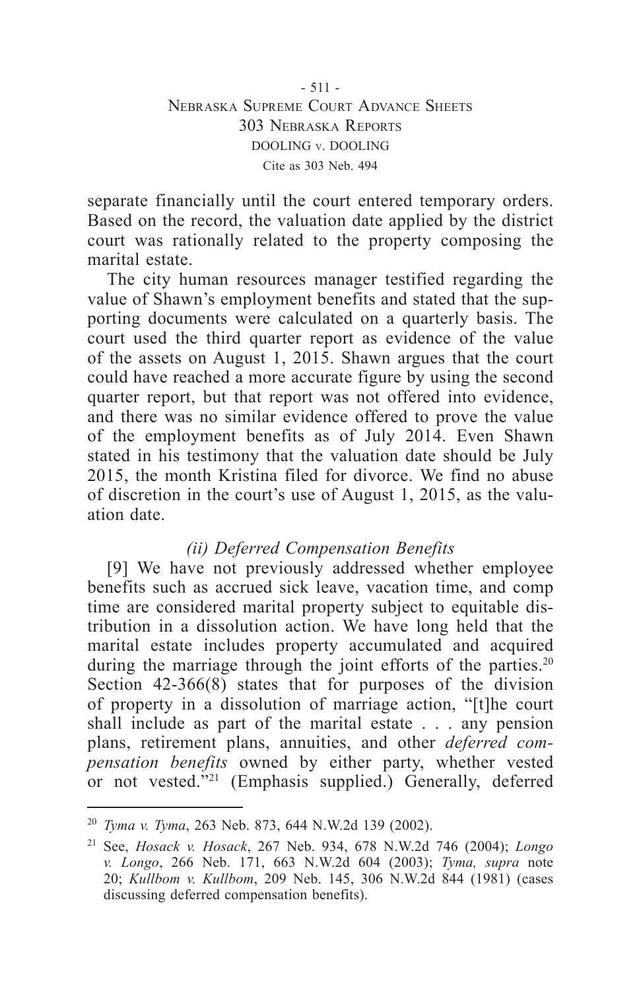separate financially until the court entered temporary orders. Based on the record, the valuation date applied by the district court was rationally related to the property composing the marital estate.

The city human resources manager testified regarding the value of Shawn's employment benefits and stated that the supporting documents were calculated on a quarterly basis. The court used the third quarter report as evidence of the value of the assets on August 1, 2015. Shawn argues that the court could have reached a more accurate figure by using the second quarter report, but that report was not offered into evidence, and there was no similar evidence offered to prove the value of the employment benefits as of July 2014. Even Shawn stated in his testimony that the valuation date should be July 2015, the month Kristina filed for divorce. We find no abuse of discretion in the court's use of August 1, 2015, as the valuation date.

# *(ii) Deferred Compensation Benefits*

[9] We have not previously addressed whether employee benefits such as accrued sick leave, vacation time, and comp time are considered marital property subject to equitable distribution in a dissolution action. We have long held that the marital estate includes property accumulated and acquired during the marriage through the joint efforts of the parties.<sup>20</sup> Section 42-366(8) states that for purposes of the division of property in a dissolution of marriage action, "[t]he court shall include as part of the marital estate . . . any pension plans, retirement plans, annuities, and other *deferred compensation benefits* owned by either party, whether vested or not vested."21 (Emphasis supplied.) Generally, deferred

<sup>20</sup> *Tyma v. Tyma*, 263 Neb. 873, 644 N.W.2d 139 (2002).

<sup>21</sup> See, *Hosack v. Hosack*, 267 Neb. 934, 678 N.W.2d 746 (2004); *Longo v. Longo*, 266 Neb. 171, 663 N.W.2d 604 (2003); *Tyma, supra* note 20; *Kullbom v. Kullbom*, 209 Neb. 145, 306 N.W.2d 844 (1981) (cases discussing deferred compensation benefits).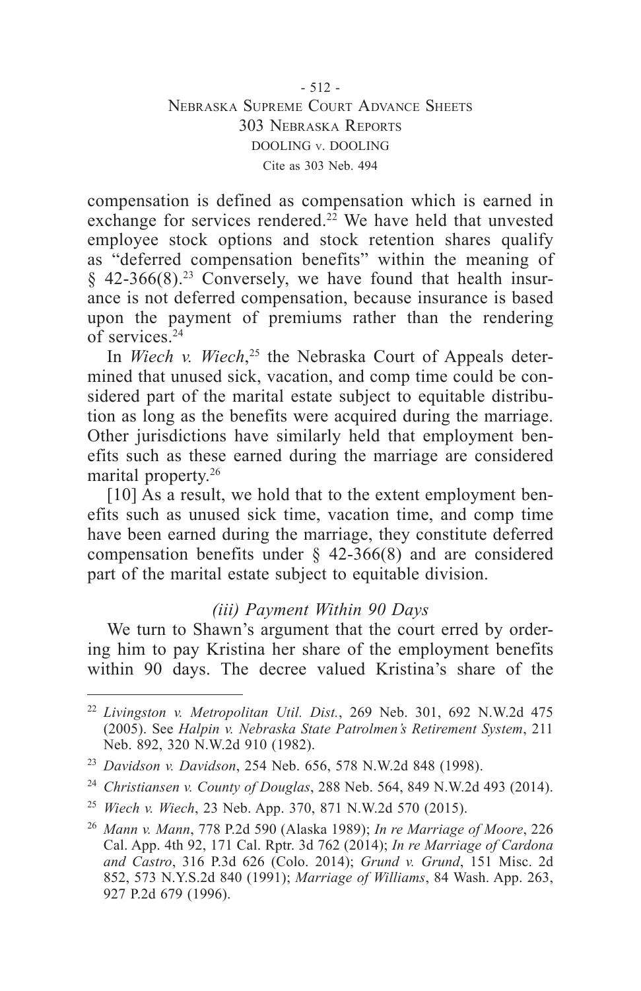compensation is defined as compensation which is earned in exchange for services rendered.<sup>22</sup> We have held that unvested employee stock options and stock retention shares qualify as "deferred compensation benefits" within the meaning of  $§$  42-366(8).<sup>23</sup> Conversely, we have found that health insurance is not deferred compensation, because insurance is based upon the payment of premiums rather than the rendering of services.24

In *Wiech v. Wiech*, 25 the Nebraska Court of Appeals determined that unused sick, vacation, and comp time could be considered part of the marital estate subject to equitable distribution as long as the benefits were acquired during the marriage. Other jurisdictions have similarly held that employment benefits such as these earned during the marriage are considered marital property.<sup>26</sup>

[10] As a result, we hold that to the extent employment benefits such as unused sick time, vacation time, and comp time have been earned during the marriage, they constitute deferred compensation benefits under § 42-366(8) and are considered part of the marital estate subject to equitable division.

## *(iii) Payment Within 90 Days*

We turn to Shawn's argument that the court erred by ordering him to pay Kristina her share of the employment benefits within 90 days. The decree valued Kristina's share of the

<sup>22</sup> *Livingston v. Metropolitan Util. Dist.*, 269 Neb. 301, 692 N.W.2d 475 (2005). See *Halpin v. Nebraska State Patrolmen's Retirement System*, 211 Neb. 892, 320 N.W.2d 910 (1982).

<sup>23</sup> *Davidson v. Davidson*, 254 Neb. 656, 578 N.W.2d 848 (1998).

<sup>24</sup> *Christiansen v. County of Douglas*, 288 Neb. 564, 849 N.W.2d 493 (2014).

<sup>25</sup> *Wiech v. Wiech*, 23 Neb. App. 370, 871 N.W.2d 570 (2015).

<sup>26</sup> *Mann v. Mann*, 778 P.2d 590 (Alaska 1989); *In re Marriage of Moore*, 226 Cal. App. 4th 92, 171 Cal. Rptr. 3d 762 (2014); *In re Marriage of Cardona and Castro*, 316 P.3d 626 (Colo. 2014); *Grund v. Grund*, 151 Misc. 2d 852, 573 N.Y.S.2d 840 (1991); *Marriage of Williams*, 84 Wash. App. 263, 927 P.2d 679 (1996).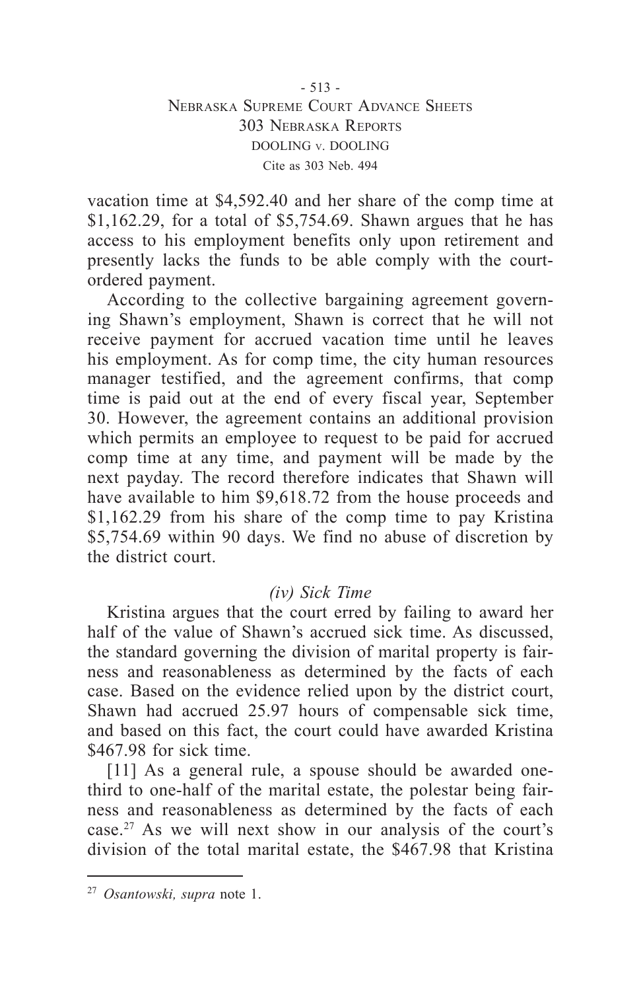### - 513 - Nebraska Supreme Court Advance Sheets 303 Nebraska Reports DOOLING v. DOOLING Cite as 303 Neb. 494

vacation time at \$4,592.40 and her share of the comp time at \$1,162.29, for a total of \$5,754.69. Shawn argues that he has access to his employment benefits only upon retirement and presently lacks the funds to be able comply with the courtordered payment.

According to the collective bargaining agreement governing Shawn's employment, Shawn is correct that he will not receive payment for accrued vacation time until he leaves his employment. As for comp time, the city human resources manager testified, and the agreement confirms, that comp time is paid out at the end of every fiscal year, September 30. However, the agreement contains an additional provision which permits an employee to request to be paid for accrued comp time at any time, and payment will be made by the next payday. The record therefore indicates that Shawn will have available to him \$9,618.72 from the house proceeds and \$1,162.29 from his share of the comp time to pay Kristina \$5,754.69 within 90 days. We find no abuse of discretion by the district court.

### *(iv) Sick Time*

Kristina argues that the court erred by failing to award her half of the value of Shawn's accrued sick time. As discussed, the standard governing the division of marital property is fairness and reasonableness as determined by the facts of each case. Based on the evidence relied upon by the district court, Shawn had accrued 25.97 hours of compensable sick time, and based on this fact, the court could have awarded Kristina \$467.98 for sick time.

[11] As a general rule, a spouse should be awarded onethird to one-half of the marital estate, the polestar being fairness and reasonableness as determined by the facts of each case.27 As we will next show in our analysis of the court's division of the total marital estate, the \$467.98 that Kristina

<sup>27</sup> *Osantowski, supra* note 1.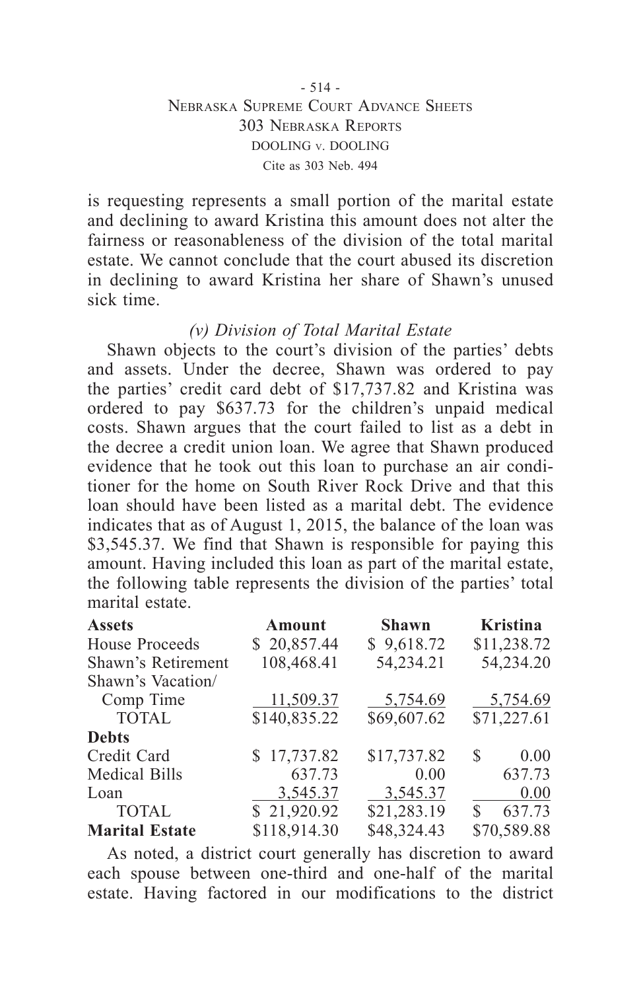### - 514 - Nebraska Supreme Court Advance Sheets 303 Nebraska Reports DOOLING v. DOOLING Cite as 303 Neb. 494

is requesting represents a small portion of the marital estate and declining to award Kristina this amount does not alter the fairness or reasonableness of the division of the total marital estate. We cannot conclude that the court abused its discretion in declining to award Kristina her share of Shawn's unused sick time.

### *(v) Division of Total Marital Estate*

Shawn objects to the court's division of the parties' debts and assets. Under the decree, Shawn was ordered to pay the parties' credit card debt of \$17,737.82 and Kristina was ordered to pay \$637.73 for the children's unpaid medical costs. Shawn argues that the court failed to list as a debt in the decree a credit union loan. We agree that Shawn produced evidence that he took out this loan to purchase an air conditioner for the home on South River Rock Drive and that this loan should have been listed as a marital debt. The evidence indicates that as of August 1, 2015, the balance of the loan was \$3,545.37. We find that Shawn is responsible for paying this amount. Having included this loan as part of the marital estate, the following table represents the division of the parties' total marital estate.

| <b>Assets</b>         | Amount       | <b>Shawn</b> | <b>Kristina</b> |
|-----------------------|--------------|--------------|-----------------|
| House Proceeds        | \$20,857.44  | \$9,618.72   | \$11,238.72     |
| Shawn's Retirement    | 108,468.41   | 54,234.21    | 54,234.20       |
| Shawn's Vacation/     |              |              |                 |
| Comp Time             | 11,509.37    | 5,754.69     | 5,754.69        |
| <b>TOTAL</b>          | \$140,835.22 | \$69,607.62  | \$71,227.61     |
| <b>Debts</b>          |              |              |                 |
| Credit Card           | \$17,737.82  | \$17,737.82  | 0.00<br>S       |
| Medical Bills         | 637.73       | 0.00         | 637.73          |
| Loan                  | 3,545.37     | 3,545.37     | 0.00            |
| <b>TOTAL</b>          | \$21,920.92  | \$21,283.19  | 637.73<br>S     |
| <b>Marital Estate</b> | \$118,914.30 | \$48,324.43  | \$70,589.88     |

As noted, a district court generally has discretion to award each spouse between one-third and one-half of the marital estate. Having factored in our modifications to the district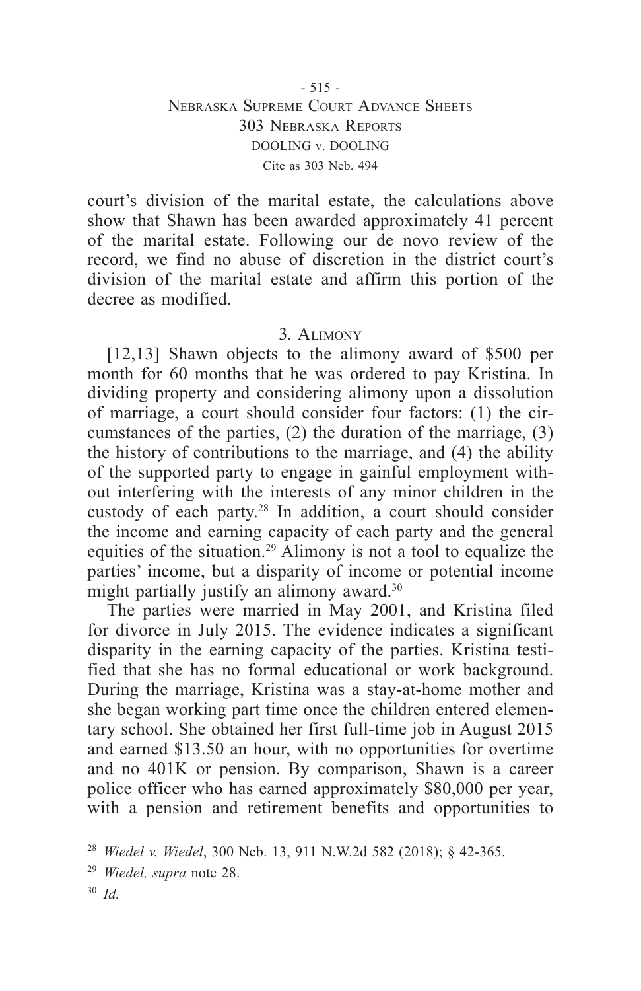court's division of the marital estate, the calculations above show that Shawn has been awarded approximately 41 percent of the marital estate. Following our de novo review of the record, we find no abuse of discretion in the district court's division of the marital estate and affirm this portion of the decree as modified.

### 3. Alimony

[12,13] Shawn objects to the alimony award of \$500 per month for 60 months that he was ordered to pay Kristina. In dividing property and considering alimony upon a dissolution of marriage, a court should consider four factors: (1) the circumstances of the parties, (2) the duration of the marriage, (3) the history of contributions to the marriage, and (4) the ability of the supported party to engage in gainful employment without interfering with the interests of any minor children in the custody of each party.28 In addition, a court should consider the income and earning capacity of each party and the general equities of the situation.29 Alimony is not a tool to equalize the parties' income, but a disparity of income or potential income might partially justify an alimony award.<sup>30</sup>

The parties were married in May 2001, and Kristina filed for divorce in July 2015. The evidence indicates a significant disparity in the earning capacity of the parties. Kristina testified that she has no formal educational or work background. During the marriage, Kristina was a stay-at-home mother and she began working part time once the children entered elementary school. She obtained her first full-time job in August 2015 and earned \$13.50 an hour, with no opportunities for overtime and no 401K or pension. By comparison, Shawn is a career police officer who has earned approximately \$80,000 per year, with a pension and retirement benefits and opportunities to

<sup>28</sup> *Wiedel v. Wiedel*, 300 Neb. 13, 911 N.W.2d 582 (2018); § 42-365.

<sup>29</sup> *Wiedel, supra* note 28.

<sup>30</sup> *Id.*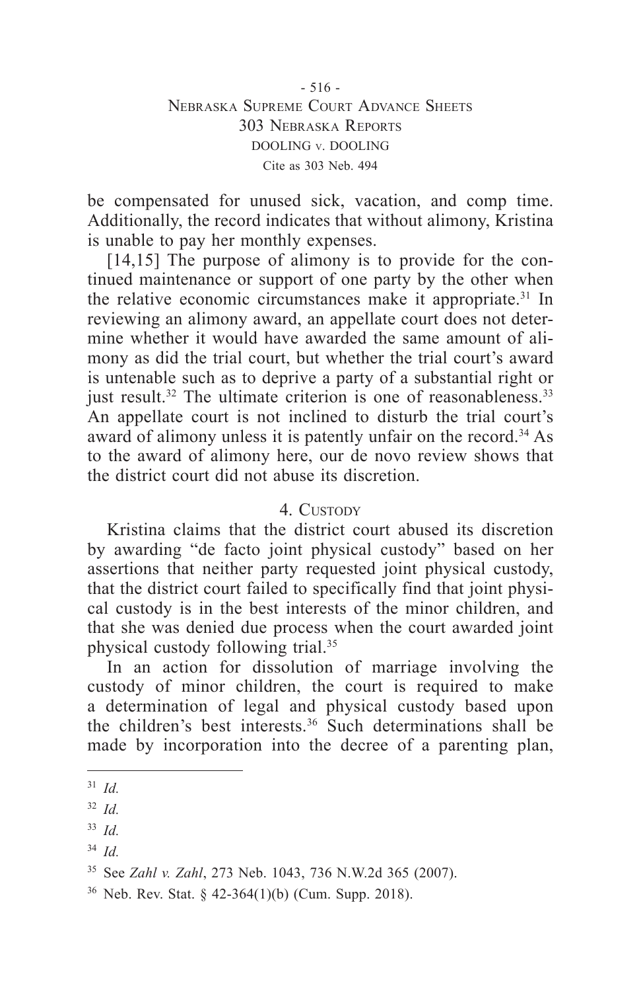- 516 - Nebraska Supreme Court Advance Sheets 303 Nebraska Reports DOOLING v. DOOLING Cite as 303 Neb. 494

be compensated for unused sick, vacation, and comp time. Additionally, the record indicates that without alimony, Kristina is unable to pay her monthly expenses.

[14,15] The purpose of alimony is to provide for the continued maintenance or support of one party by the other when the relative economic circumstances make it appropriate.31 In reviewing an alimony award, an appellate court does not determine whether it would have awarded the same amount of alimony as did the trial court, but whether the trial court's award is untenable such as to deprive a party of a substantial right or just result.<sup>32</sup> The ultimate criterion is one of reasonableness.<sup>33</sup> An appellate court is not inclined to disturb the trial court's award of alimony unless it is patently unfair on the record.<sup>34</sup> As to the award of alimony here, our de novo review shows that the district court did not abuse its discretion.

### 4 CUSTODY

Kristina claims that the district court abused its discretion by awarding "de facto joint physical custody" based on her assertions that neither party requested joint physical custody, that the district court failed to specifically find that joint physical custody is in the best interests of the minor children, and that she was denied due process when the court awarded joint physical custody following trial.35

In an action for dissolution of marriage involving the custody of minor children, the court is required to make a determination of legal and physical custody based upon the children's best interests.36 Such determinations shall be made by incorporation into the decree of a parenting plan,

<sup>31</sup> *Id.*

<sup>32</sup> *Id.*

<sup>33</sup> *Id.*

<sup>34</sup> *Id.*

<sup>35</sup> See *Zahl v. Zahl*, 273 Neb. 1043, 736 N.W.2d 365 (2007).

 $36$  Neb. Rev. Stat. § 42-364(1)(b) (Cum. Supp. 2018).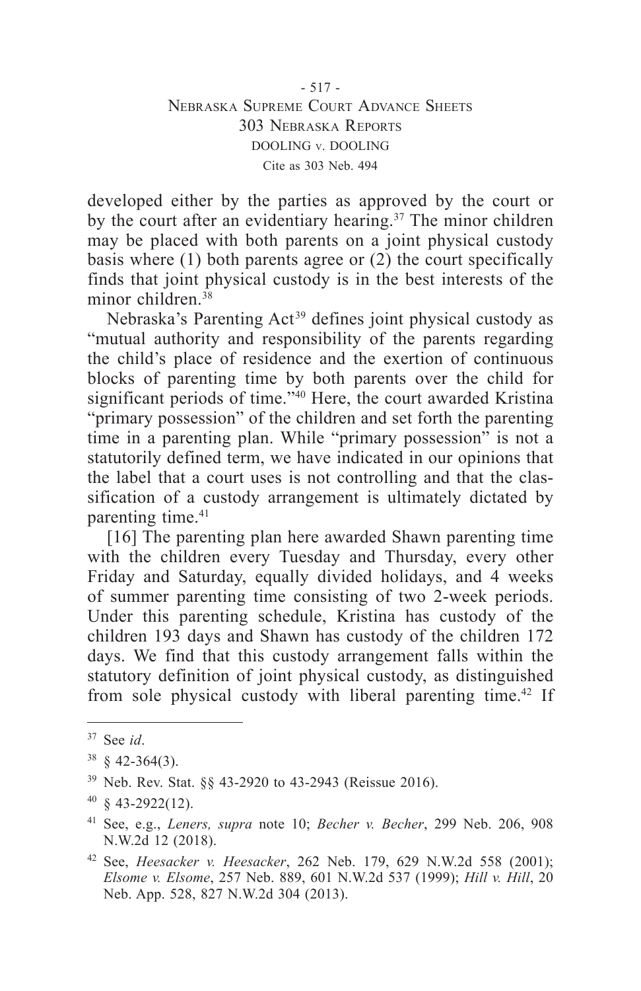- 517 - Nebraska Supreme Court Advance Sheets 303 Nebraska Reports DOOLING v. DOOLING Cite as 303 Neb. 494

developed either by the parties as approved by the court or by the court after an evidentiary hearing.<sup>37</sup> The minor children may be placed with both parents on a joint physical custody basis where (1) both parents agree or (2) the court specifically finds that joint physical custody is in the best interests of the minor children  $38$ 

Nebraska's Parenting Act<sup>39</sup> defines joint physical custody as "mutual authority and responsibility of the parents regarding the child's place of residence and the exertion of continuous blocks of parenting time by both parents over the child for significant periods of time."40 Here, the court awarded Kristina "primary possession" of the children and set forth the parenting time in a parenting plan. While "primary possession" is not a statutorily defined term, we have indicated in our opinions that the label that a court uses is not controlling and that the classification of a custody arrangement is ultimately dictated by parenting time.<sup>41</sup>

[16] The parenting plan here awarded Shawn parenting time with the children every Tuesday and Thursday, every other Friday and Saturday, equally divided holidays, and 4 weeks of summer parenting time consisting of two 2-week periods. Under this parenting schedule, Kristina has custody of the children 193 days and Shawn has custody of the children 172 days. We find that this custody arrangement falls within the statutory definition of joint physical custody, as distinguished from sole physical custody with liberal parenting time.<sup>42</sup> If

<sup>37</sup> See *id*.

 $38 \& 42 - 364(3)$ .

<sup>39</sup> Neb. Rev. Stat. §§ 43-2920 to 43-2943 (Reissue 2016).

 $40 \text{ } 843 - 2922(12)$ .

<sup>41</sup> See, e.g., *Leners, supra* note 10; *Becher v. Becher*, 299 Neb. 206, 908 N.W.2d 12 (2018).

<sup>42</sup> See, *Heesacker v. Heesacker*, 262 Neb. 179, 629 N.W.2d 558 (2001); *Elsome v. Elsome*, 257 Neb. 889, 601 N.W.2d 537 (1999); *Hill v. Hill*, 20 Neb. App. 528, 827 N.W.2d 304 (2013).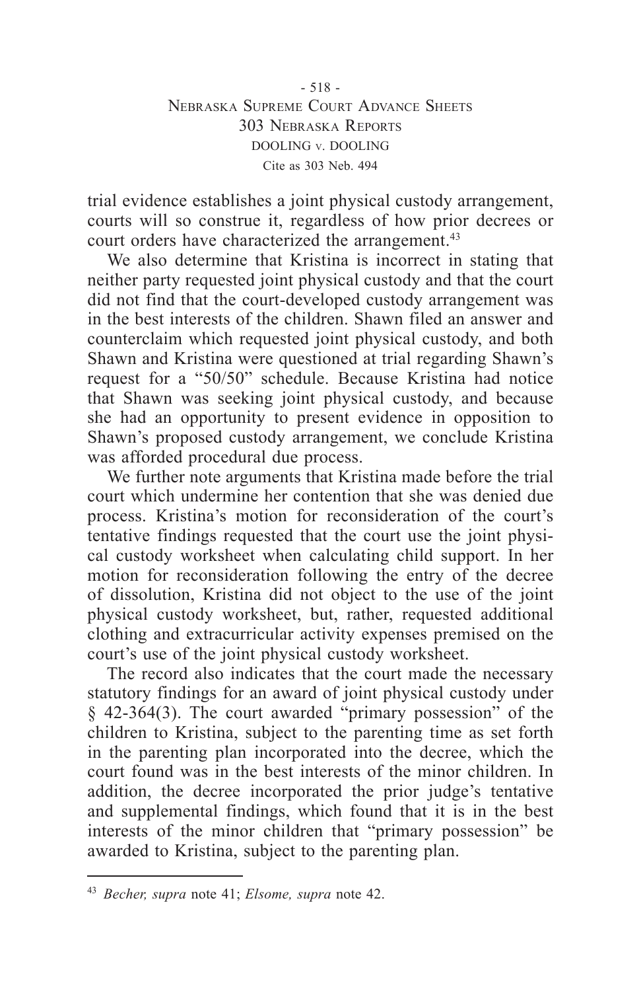- 518 - Nebraska Supreme Court Advance Sheets 303 Nebraska Reports DOOLING v. DOOLING Cite as 303 Neb. 494

trial evidence establishes a joint physical custody arrangement, courts will so construe it, regardless of how prior decrees or court orders have characterized the arrangement.<sup>43</sup>

We also determine that Kristina is incorrect in stating that neither party requested joint physical custody and that the court did not find that the court-developed custody arrangement was in the best interests of the children. Shawn filed an answer and counterclaim which requested joint physical custody, and both Shawn and Kristina were questioned at trial regarding Shawn's request for a "50/50" schedule. Because Kristina had notice that Shawn was seeking joint physical custody, and because she had an opportunity to present evidence in opposition to Shawn's proposed custody arrangement, we conclude Kristina was afforded procedural due process.

We further note arguments that Kristina made before the trial court which undermine her contention that she was denied due process. Kristina's motion for reconsideration of the court's tentative findings requested that the court use the joint physical custody worksheet when calculating child support. In her motion for reconsideration following the entry of the decree of dissolution, Kristina did not object to the use of the joint physical custody worksheet, but, rather, requested additional clothing and extracurricular activity expenses premised on the court's use of the joint physical custody worksheet.

The record also indicates that the court made the necessary statutory findings for an award of joint physical custody under § 42-364(3). The court awarded "primary possession" of the children to Kristina, subject to the parenting time as set forth in the parenting plan incorporated into the decree, which the court found was in the best interests of the minor children. In addition, the decree incorporated the prior judge's tentative and supplemental findings, which found that it is in the best interests of the minor children that "primary possession" be awarded to Kristina, subject to the parenting plan.

<sup>43</sup> *Becher, supra* note 41; *Elsome, supra* note 42.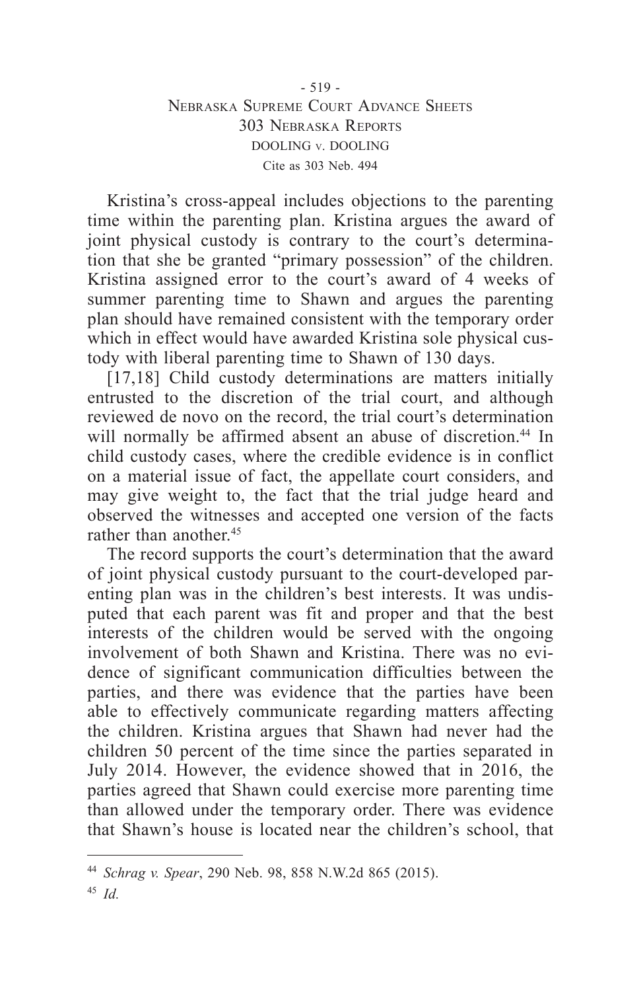### - 519 - Nebraska Supreme Court Advance Sheets 303 Nebraska Reports DOOLING v. DOOLING Cite as 303 Neb. 494

Kristina's cross-appeal includes objections to the parenting time within the parenting plan. Kristina argues the award of joint physical custody is contrary to the court's determination that she be granted "primary possession" of the children. Kristina assigned error to the court's award of 4 weeks of summer parenting time to Shawn and argues the parenting plan should have remained consistent with the temporary order which in effect would have awarded Kristina sole physical custody with liberal parenting time to Shawn of 130 days.

[17,18] Child custody determinations are matters initially entrusted to the discretion of the trial court, and although reviewed de novo on the record, the trial court's determination will normally be affirmed absent an abuse of discretion.<sup>44</sup> In child custody cases, where the credible evidence is in conflict on a material issue of fact, the appellate court considers, and may give weight to, the fact that the trial judge heard and observed the witnesses and accepted one version of the facts rather than another  $45$ 

The record supports the court's determination that the award of joint physical custody pursuant to the court-developed parenting plan was in the children's best interests. It was undisputed that each parent was fit and proper and that the best interests of the children would be served with the ongoing involvement of both Shawn and Kristina. There was no evidence of significant communication difficulties between the parties, and there was evidence that the parties have been able to effectively communicate regarding matters affecting the children. Kristina argues that Shawn had never had the children 50 percent of the time since the parties separated in July 2014. However, the evidence showed that in 2016, the parties agreed that Shawn could exercise more parenting time than allowed under the temporary order. There was evidence that Shawn's house is located near the children's school, that

<sup>44</sup> *Schrag v. Spear*, 290 Neb. 98, 858 N.W.2d 865 (2015).

<sup>45</sup> *Id.*